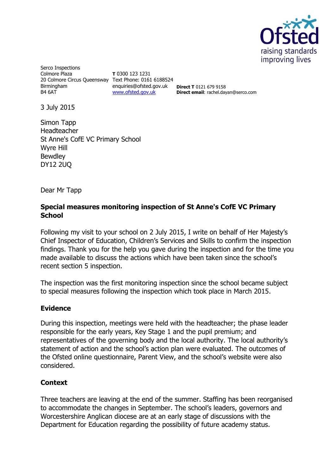

Serco Inspections Colmore Plaza 20 Colmore Circus Queensway Text Phone: 0161 6188524 **Birmingham** B4 6AT

**T** 0300 123 1231 enquiries@ofsted.gov.uk [www.ofsted.gov.uk](http://www.ofsted.gov.uk/)

**Direct T** 0121 679 9158 **Direct email**: rachel.dayan@serco.com

3 July 2015

Simon Tapp Headteacher St Anne's CofE VC Primary School Wyre Hill **Bewdley** DY12 2UQ

Dear Mr Tapp

## **Special measures monitoring inspection of St Anne's CofE VC Primary School**

Following my visit to your school on 2 July 2015, I write on behalf of Her Majesty's Chief Inspector of Education, Children's Services and Skills to confirm the inspection findings. Thank you for the help you gave during the inspection and for the time you made available to discuss the actions which have been taken since the school's recent section 5 inspection.

The inspection was the first monitoring inspection since the school became subject to special measures following the inspection which took place in March 2015.

## **Evidence**

During this inspection, meetings were held with the headteacher; the phase leader responsible for the early years, Key Stage 1 and the pupil premium; and representatives of the governing body and the local authority. The local authority's statement of action and the school's action plan were evaluated. The outcomes of the Ofsted online questionnaire, Parent View, and the school's website were also considered.

## **Context**

Three teachers are leaving at the end of the summer. Staffing has been reorganised to accommodate the changes in September. The school's leaders, governors and Worcestershire Anglican diocese are at an early stage of discussions with the Department for Education regarding the possibility of future academy status.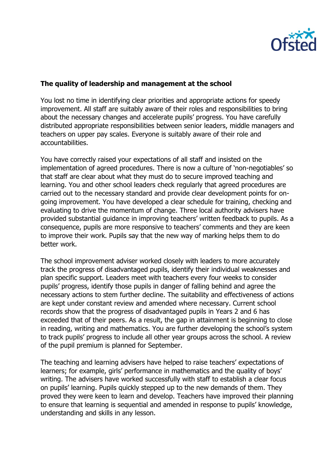

## **The quality of leadership and management at the school**

You lost no time in identifying clear priorities and appropriate actions for speedy improvement. All staff are suitably aware of their roles and responsibilities to bring about the necessary changes and accelerate pupils' progress. You have carefully distributed appropriate responsibilities between senior leaders, middle managers and teachers on upper pay scales. Everyone is suitably aware of their role and accountabilities.

You have correctly raised your expectations of all staff and insisted on the implementation of agreed procedures. There is now a culture of 'non-negotiables' so that staff are clear about what they must do to secure improved teaching and learning. You and other school leaders check regularly that agreed procedures are carried out to the necessary standard and provide clear development points for ongoing improvement. You have developed a clear schedule for training, checking and evaluating to drive the momentum of change. Three local authority advisers have provided substantial guidance in improving teachers' written feedback to pupils. As a consequence, pupils are more responsive to teachers' comments and they are keen to improve their work. Pupils say that the new way of marking helps them to do better work.

The school improvement adviser worked closely with leaders to more accurately track the progress of disadvantaged pupils, identify their individual weaknesses and plan specific support. Leaders meet with teachers every four weeks to consider pupils' progress, identify those pupils in danger of falling behind and agree the necessary actions to stem further decline. The suitability and effectiveness of actions are kept under constant review and amended where necessary. Current school records show that the progress of disadvantaged pupils in Years 2 and 6 has exceeded that of their peers. As a result, the gap in attainment is beginning to close in reading, writing and mathematics. You are further developing the school's system to track pupils' progress to include all other year groups across the school. A review of the pupil premium is planned for September.

The teaching and learning advisers have helped to raise teachers' expectations of learners; for example, girls' performance in mathematics and the quality of boys' writing. The advisers have worked successfully with staff to establish a clear focus on pupils' learning. Pupils quickly stepped up to the new demands of them. They proved they were keen to learn and develop. Teachers have improved their planning to ensure that learning is sequential and amended in response to pupils' knowledge, understanding and skills in any lesson.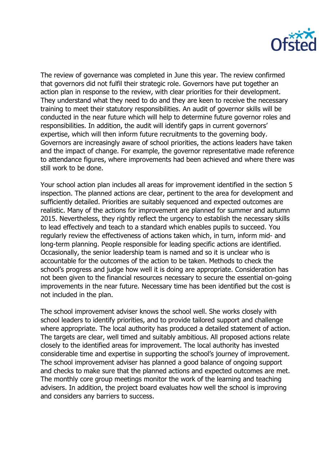

The review of governance was completed in June this year. The review confirmed that governors did not fulfil their strategic role. Governors have put together an action plan in response to the review, with clear priorities for their development. They understand what they need to do and they are keen to receive the necessary training to meet their statutory responsibilities. An audit of governor skills will be conducted in the near future which will help to determine future governor roles and responsibilities. In addition, the audit will identify gaps in current governors' expertise, which will then inform future recruitments to the governing body. Governors are increasingly aware of school priorities, the actions leaders have taken and the impact of change. For example, the governor representative made reference to attendance figures, where improvements had been achieved and where there was still work to be done.

Your school action plan includes all areas for improvement identified in the section 5 inspection. The planned actions are clear, pertinent to the area for development and sufficiently detailed. Priorities are suitably sequenced and expected outcomes are realistic. Many of the actions for improvement are planned for summer and autumn 2015. Nevertheless, they rightly reflect the urgency to establish the necessary skills to lead effectively and teach to a standard which enables pupils to succeed. You regularly review the effectiveness of actions taken which, in turn, inform mid- and long-term planning. People responsible for leading specific actions are identified. Occasionally, the senior leadership team is named and so it is unclear who is accountable for the outcomes of the action to be taken. Methods to check the school's progress and judge how well it is doing are appropriate. Consideration has not been given to the financial resources necessary to secure the essential on-going improvements in the near future. Necessary time has been identified but the cost is not included in the plan.

The school improvement adviser knows the school well. She works closely with school leaders to identify priorities, and to provide tailored support and challenge where appropriate. The local authority has produced a detailed statement of action. The targets are clear, well timed and suitably ambitious. All proposed actions relate closely to the identified areas for improvement. The local authority has invested considerable time and expertise in supporting the school's journey of improvement. The school improvement adviser has planned a good balance of ongoing support and checks to make sure that the planned actions and expected outcomes are met. The monthly core group meetings monitor the work of the learning and teaching advisers. In addition, the project board evaluates how well the school is improving and considers any barriers to success.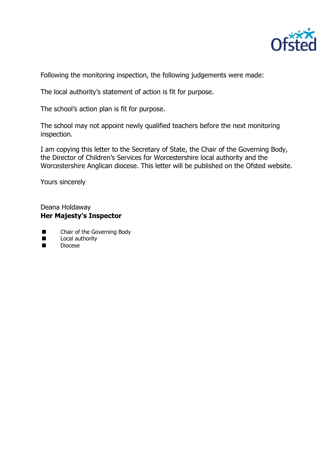

Following the monitoring inspection, the following judgements were made:

The local authority's statement of action is fit for purpose.

The school's action plan is fit for purpose.

The school may not appoint newly qualified teachers before the next monitoring inspection.

I am copying this letter to the Secretary of State, the Chair of the Governing Body, the Director of Children's Services for Worcestershire local authority and the Worcestershire Anglican diocese. This letter will be published on the Ofsted website.

Yours sincerely

Deana Holdaway **Her Majesty's Inspector**

- **Example 2** Chair of the Governing Body
- **Local authority**<br>
Diocese
- Diocese